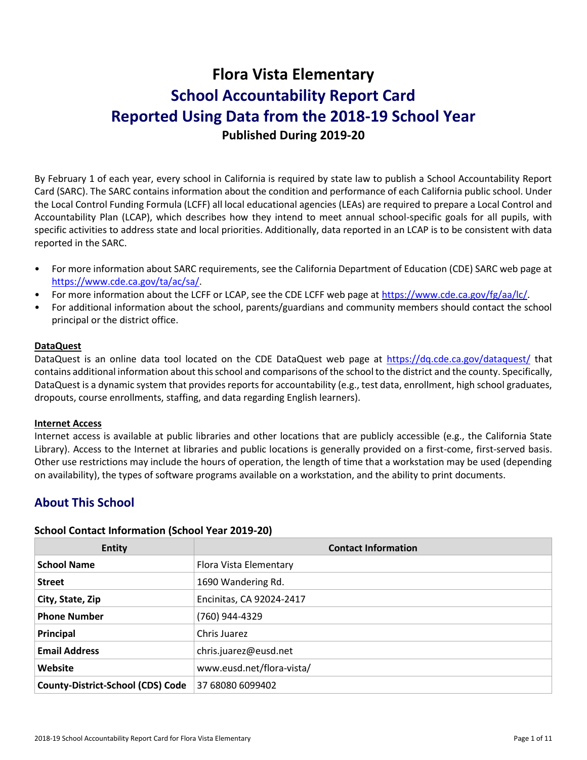# **Flora Vista Elementary School Accountability Report Card Reported Using Data from the 2018-19 School Year Published During 2019-20**

By February 1 of each year, every school in California is required by state law to publish a School Accountability Report Card (SARC). The SARC contains information about the condition and performance of each California public school. Under the Local Control Funding Formula (LCFF) all local educational agencies (LEAs) are required to prepare a Local Control and Accountability Plan (LCAP), which describes how they intend to meet annual school-specific goals for all pupils, with specific activities to address state and local priorities. Additionally, data reported in an LCAP is to be consistent with data reported in the SARC.

- For more information about SARC requirements, see the California Department of Education (CDE) SARC web page at [https://www.cde.ca.gov/ta/ac/sa/.](https://www.cde.ca.gov/ta/ac/sa/)
- For more information about the LCFF or LCAP, see the CDE LCFF web page at [https://www.cde.ca.gov/fg/aa/lc/.](https://www.cde.ca.gov/fg/aa/lc/)
- For additional information about the school, parents/guardians and community members should contact the school principal or the district office.

### **DataQuest**

DataQuest is an online data tool located on the CDE DataQuest web page at<https://dq.cde.ca.gov/dataquest/> that contains additional information about this school and comparisons of the school to the district and the county. Specifically, DataQuest is a dynamic system that provides reports for accountability (e.g., test data, enrollment, high school graduates, dropouts, course enrollments, staffing, and data regarding English learners).

### **Internet Access**

Internet access is available at public libraries and other locations that are publicly accessible (e.g., the California State Library). Access to the Internet at libraries and public locations is generally provided on a first-come, first-served basis. Other use restrictions may include the hours of operation, the length of time that a workstation may be used (depending on availability), the types of software programs available on a workstation, and the ability to print documents.

# **About This School**

### **School Contact Information (School Year 2019-20)**

| <b>Entity</b>                            | <b>Contact Information</b> |
|------------------------------------------|----------------------------|
| <b>School Name</b>                       | Flora Vista Elementary     |
| <b>Street</b>                            | 1690 Wandering Rd.         |
| City, State, Zip                         | Encinitas, CA 92024-2417   |
| <b>Phone Number</b>                      | (760) 944-4329             |
| Principal                                | Chris Juarez               |
| <b>Email Address</b>                     | chris.juarez@eusd.net      |
| Website                                  | www.eusd.net/flora-vista/  |
| <b>County-District-School (CDS) Code</b> | 37 68080 6099402           |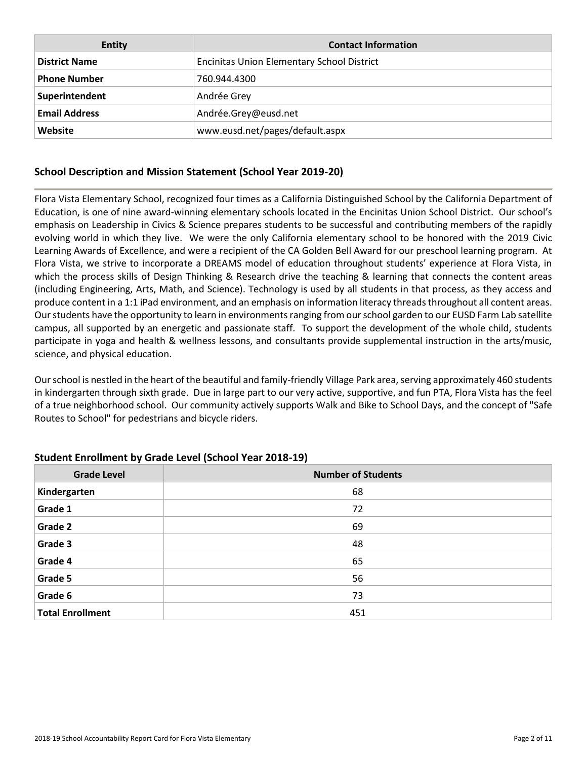| <b>Entity</b>        | <b>Contact Information</b>                        |
|----------------------|---------------------------------------------------|
| <b>District Name</b> | <b>Encinitas Union Elementary School District</b> |
| <b>Phone Number</b>  | 760.944.4300                                      |
| Superintendent       | Andrée Grey                                       |
| <b>Email Address</b> | Andrée.Grey@eusd.net                              |
| Website              | www.eusd.net/pages/default.aspx                   |

### **School Description and Mission Statement (School Year 2019-20)**

Flora Vista Elementary School, recognized four times as a California Distinguished School by the California Department of Education, is one of nine award-winning elementary schools located in the Encinitas Union School District. Our school's emphasis on Leadership in Civics & Science prepares students to be successful and contributing members of the rapidly evolving world in which they live. We were the only California elementary school to be honored with the 2019 Civic Learning Awards of Excellence, and were a recipient of the CA Golden Bell Award for our preschool learning program. At Flora Vista, we strive to incorporate a DREAMS model of education throughout students' experience at Flora Vista, in which the process skills of Design Thinking & Research drive the teaching & learning that connects the content areas (including Engineering, Arts, Math, and Science). Technology is used by all students in that process, as they access and produce content in a 1:1 iPad environment, and an emphasis on information literacy threads throughout all content areas. Our students have the opportunity to learn in environments ranging from our school garden to our EUSD Farm Lab satellite campus, all supported by an energetic and passionate staff. To support the development of the whole child, students participate in yoga and health & wellness lessons, and consultants provide supplemental instruction in the arts/music, science, and physical education.

Our school is nestled in the heart of the beautiful and family-friendly Village Park area, serving approximately 460 students in kindergarten through sixth grade. Due in large part to our very active, supportive, and fun PTA, Flora Vista has the feel of a true neighborhood school. Our community actively supports Walk and Bike to School Days, and the concept of "Safe Routes to School" for pedestrians and bicycle riders.

| <b>Grade Level</b>      | <b>Number of Students</b> |
|-------------------------|---------------------------|
| Kindergarten            | 68                        |
| Grade 1                 | 72                        |
| Grade 2                 | 69                        |
| Grade 3                 | 48                        |
| Grade 4                 | 65                        |
| Grade 5                 | 56                        |
| Grade 6                 | 73                        |
| <b>Total Enrollment</b> | 451                       |

### **Student Enrollment by Grade Level (School Year 2018-19)**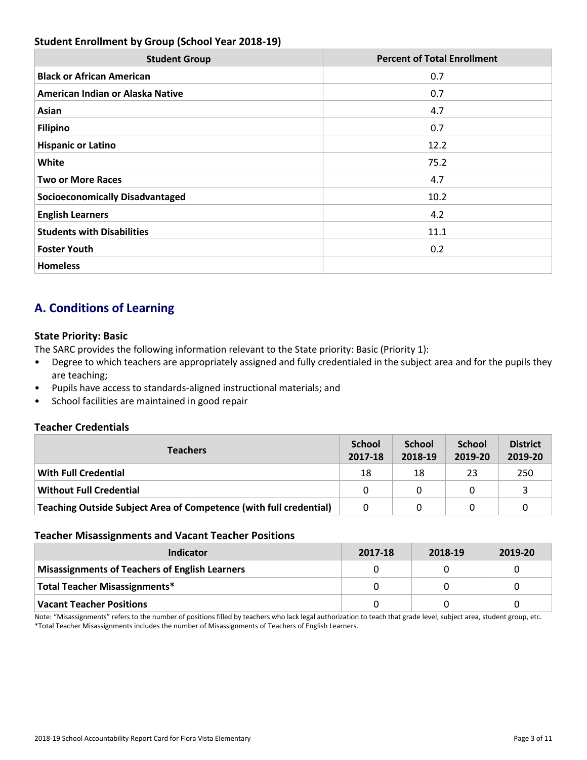### **Student Enrollment by Group (School Year 2018-19)**

| <b>Student Group</b>                   | <b>Percent of Total Enrollment</b> |
|----------------------------------------|------------------------------------|
| <b>Black or African American</b>       | 0.7                                |
| American Indian or Alaska Native       | 0.7                                |
| Asian                                  | 4.7                                |
| <b>Filipino</b>                        | 0.7                                |
| <b>Hispanic or Latino</b>              | 12.2                               |
| White                                  | 75.2                               |
| <b>Two or More Races</b>               | 4.7                                |
| <b>Socioeconomically Disadvantaged</b> | 10.2                               |
| <b>English Learners</b>                | 4.2                                |
| <b>Students with Disabilities</b>      | 11.1                               |
| <b>Foster Youth</b>                    | 0.2                                |
| <b>Homeless</b>                        |                                    |

# **A. Conditions of Learning**

### **State Priority: Basic**

The SARC provides the following information relevant to the State priority: Basic (Priority 1):

- Degree to which teachers are appropriately assigned and fully credentialed in the subject area and for the pupils they are teaching;
- Pupils have access to standards-aligned instructional materials; and
- School facilities are maintained in good repair

### **Teacher Credentials**

| <b>Teachers</b>                                                    | <b>School</b><br>2017-18 | <b>School</b><br>2018-19 | <b>School</b><br>2019-20 | <b>District</b><br>2019-20 |
|--------------------------------------------------------------------|--------------------------|--------------------------|--------------------------|----------------------------|
| <b>With Full Credential</b>                                        | 18                       | 18                       | 23                       | 250                        |
| Without Full Credential                                            | 0                        | 0                        |                          |                            |
| Teaching Outside Subject Area of Competence (with full credential) | 0                        | 0                        |                          |                            |

### **Teacher Misassignments and Vacant Teacher Positions**

| Indicator                                             | 2017-18 | 2018-19 | 2019-20 |
|-------------------------------------------------------|---------|---------|---------|
| <b>Misassignments of Teachers of English Learners</b> |         |         |         |
| Total Teacher Misassignments*                         |         |         |         |
| <b>Vacant Teacher Positions</b>                       |         |         |         |

Note: "Misassignments" refers to the number of positions filled by teachers who lack legal authorization to teach that grade level, subject area, student group, etc. \*Total Teacher Misassignments includes the number of Misassignments of Teachers of English Learners.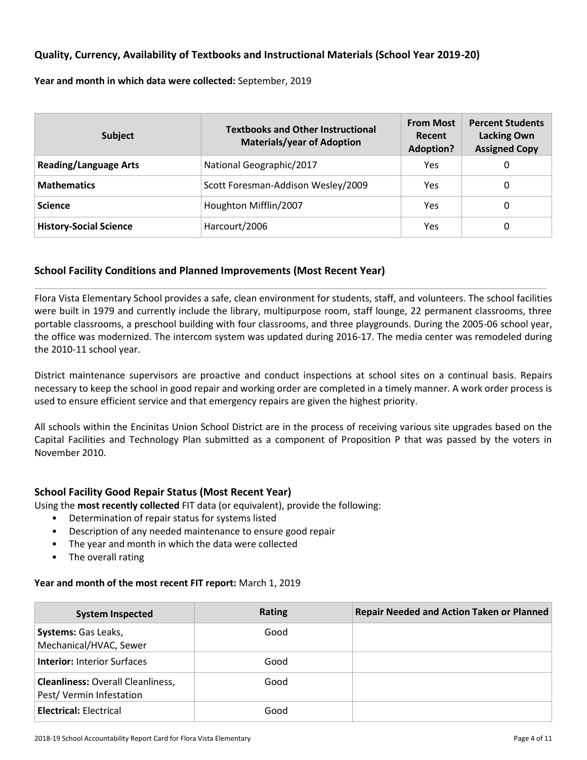### **Quality, Currency, Availability of Textbooks and Instructional Materials (School Year 2019-20)**

**Year and month in which data were collected:** September, 2019

| <b>Subject</b>                | <b>Textbooks and Other Instructional</b><br><b>Materials/year of Adoption</b> | <b>From Most</b><br>Recent<br><b>Adoption?</b> | <b>Percent Students</b><br><b>Lacking Own</b><br><b>Assigned Copy</b> |
|-------------------------------|-------------------------------------------------------------------------------|------------------------------------------------|-----------------------------------------------------------------------|
| <b>Reading/Language Arts</b>  | National Geographic/2017                                                      | Yes                                            | 0                                                                     |
| <b>Mathematics</b>            | Scott Foresman-Addison Wesley/2009                                            | Yes                                            | 0                                                                     |
| <b>Science</b>                | Houghton Mifflin/2007                                                         | Yes                                            | 0                                                                     |
| <b>History-Social Science</b> | Harcourt/2006                                                                 | Yes                                            | 0                                                                     |

### **School Facility Conditions and Planned Improvements (Most Recent Year)**

Flora Vista Elementary School provides a safe, clean environment for students, staff, and volunteers. The school facilities were built in 1979 and currently include the library, multipurpose room, staff lounge, 22 permanent classrooms, three portable classrooms, a preschool building with four classrooms, and three playgrounds. During the 2005-06 school year, the office was modernized. The intercom system was updated during 2016-17. The media center was remodeled during the 2010-11 school year.

District maintenance supervisors are proactive and conduct inspections at school sites on a continual basis. Repairs necessary to keep the school in good repair and working order are completed in a timely manner. A work order process is used to ensure efficient service and that emergency repairs are given the highest priority.

All schools within the Encinitas Union School District are in the process of receiving various site upgrades based on the Capital Facilities and Technology Plan submitted as a component of Proposition P that was passed by the voters in November 2010.

### **School Facility Good Repair Status (Most Recent Year)**

Using the **most recently collected** FIT data (or equivalent), provide the following:

- Determination of repair status for systems listed
- Description of any needed maintenance to ensure good repair
- The year and month in which the data were collected
- The overall rating

### **Year and month of the most recent FIT report:** March 1, 2019

| <b>System Inspected</b>                                             | <b>Rating</b> | <b>Repair Needed and Action Taken or Planned</b> |
|---------------------------------------------------------------------|---------------|--------------------------------------------------|
| <b>Systems:</b> Gas Leaks,<br>Mechanical/HVAC, Sewer                | Good          |                                                  |
| <b>Interior: Interior Surfaces</b>                                  | Good          |                                                  |
| <b>Cleanliness: Overall Cleanliness,</b><br>Pest/Vermin Infestation | Good          |                                                  |
| <b>Electrical: Electrical</b>                                       | Good          |                                                  |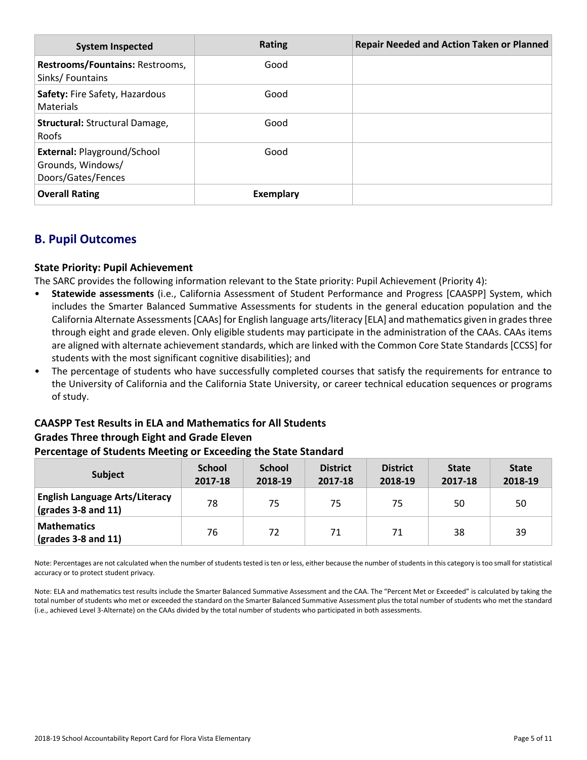| <b>System Inspected</b>                                                       | Rating    | <b>Repair Needed and Action Taken or Planned</b> |
|-------------------------------------------------------------------------------|-----------|--------------------------------------------------|
| Restrooms/Fountains: Restrooms,<br>Sinks/Fountains                            | Good      |                                                  |
| Safety: Fire Safety, Hazardous<br>Materials                                   | Good      |                                                  |
| Structural: Structural Damage,<br><b>Roofs</b>                                | Good      |                                                  |
| <b>External: Playground/School</b><br>Grounds, Windows/<br>Doors/Gates/Fences | Good      |                                                  |
| <b>Overall Rating</b>                                                         | Exemplary |                                                  |

# **B. Pupil Outcomes**

### **State Priority: Pupil Achievement**

The SARC provides the following information relevant to the State priority: Pupil Achievement (Priority 4):

- **Statewide assessments** (i.e., California Assessment of Student Performance and Progress [CAASPP] System, which includes the Smarter Balanced Summative Assessments for students in the general education population and the California Alternate Assessments [CAAs] for English language arts/literacy [ELA] and mathematics given in grades three through eight and grade eleven. Only eligible students may participate in the administration of the CAAs. CAAs items are aligned with alternate achievement standards, which are linked with the Common Core State Standards [CCSS] for students with the most significant cognitive disabilities); and
- The percentage of students who have successfully completed courses that satisfy the requirements for entrance to the University of California and the California State University, or career technical education sequences or programs of study.

# **CAASPP Test Results in ELA and Mathematics for All Students Grades Three through Eight and Grade Eleven**

### **Percentage of Students Meeting or Exceeding the State Standard**

| <b>Subject</b>                                                        | <b>School</b><br>2017-18 | <b>School</b><br>2018-19 | <b>District</b><br>2017-18 | <b>District</b><br>2018-19 | <b>State</b><br>2017-18 | <b>State</b><br>2018-19 |
|-----------------------------------------------------------------------|--------------------------|--------------------------|----------------------------|----------------------------|-------------------------|-------------------------|
| <b>English Language Arts/Literacy</b><br>$\sqrt{(grades 3-8 and 11)}$ | 78                       | 75                       | 75                         | 75                         | 50                      | 50                      |
| <b>Mathematics</b><br>$\vert$ (grades 3-8 and 11)                     | 76                       | 72                       | 71                         | 71                         | 38                      | 39                      |

Note: Percentages are not calculated when the number of students tested is ten or less, either because the number of students in this category is too small for statistical accuracy or to protect student privacy.

Note: ELA and mathematics test results include the Smarter Balanced Summative Assessment and the CAA. The "Percent Met or Exceeded" is calculated by taking the total number of students who met or exceeded the standard on the Smarter Balanced Summative Assessment plus the total number of students who met the standard (i.e., achieved Level 3-Alternate) on the CAAs divided by the total number of students who participated in both assessments.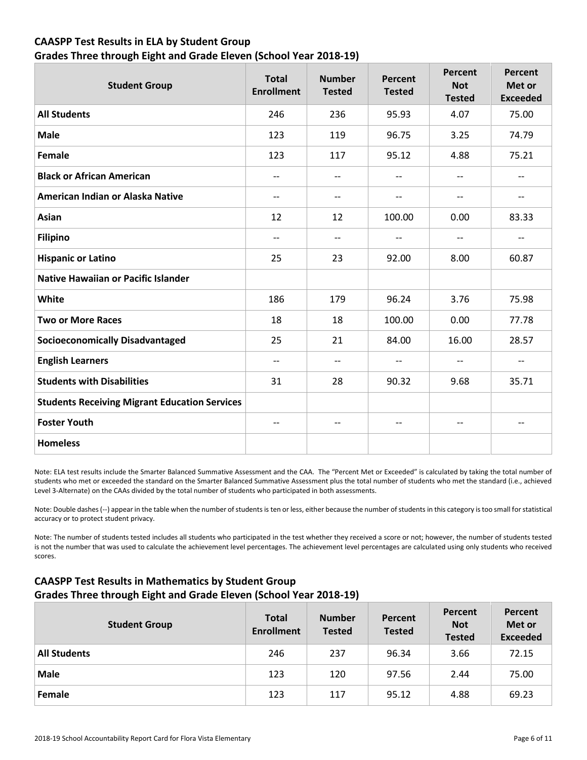### **CAASPP Test Results in ELA by Student Group Grades Three through Eight and Grade Eleven (School Year 2018-19)**

| <b>Student Group</b>                                 | <b>Total</b><br><b>Enrollment</b> | <b>Number</b><br><b>Tested</b> | Percent<br><b>Tested</b> | Percent<br><b>Not</b><br><b>Tested</b> | Percent<br>Met or<br><b>Exceeded</b> |
|------------------------------------------------------|-----------------------------------|--------------------------------|--------------------------|----------------------------------------|--------------------------------------|
| <b>All Students</b>                                  | 246                               | 236                            | 95.93                    | 4.07                                   | 75.00                                |
| <b>Male</b>                                          | 123                               | 119                            | 96.75                    | 3.25                                   | 74.79                                |
| <b>Female</b>                                        | 123                               | 117                            | 95.12                    | 4.88                                   | 75.21                                |
| <b>Black or African American</b>                     | $-$                               | $-$                            | $\qquad \qquad -$        | $\overline{\phantom{a}}$               | --                                   |
| American Indian or Alaska Native                     | $-$                               | $\overline{\phantom{a}}$       | $\qquad \qquad -$        | $\overline{\phantom{a}}$               | $\overline{\phantom{m}}$             |
| Asian                                                | 12                                | 12                             | 100.00                   | 0.00                                   | 83.33                                |
| <b>Filipino</b>                                      | $-$                               | $\qquad \qquad -$              | --                       | $\overline{\phantom{a}}$               | $\overline{\phantom{a}}$             |
| <b>Hispanic or Latino</b>                            | 25                                | 23                             | 92.00                    | 8.00                                   | 60.87                                |
| <b>Native Hawaiian or Pacific Islander</b>           |                                   |                                |                          |                                        |                                      |
| White                                                | 186                               | 179                            | 96.24                    | 3.76                                   | 75.98                                |
| <b>Two or More Races</b>                             | 18                                | 18                             | 100.00                   | 0.00                                   | 77.78                                |
| <b>Socioeconomically Disadvantaged</b>               | 25                                | 21                             | 84.00                    | 16.00                                  | 28.57                                |
| <b>English Learners</b>                              | $\overline{\phantom{a}}$          | $-$                            | $\qquad \qquad -$        | $\overline{a}$                         | $-$                                  |
| <b>Students with Disabilities</b>                    | 31                                | 28                             | 90.32                    | 9.68                                   | 35.71                                |
| <b>Students Receiving Migrant Education Services</b> |                                   |                                |                          |                                        |                                      |
| <b>Foster Youth</b>                                  | $\qquad \qquad -$                 | $-$                            | $\qquad \qquad -$        | $\overline{\phantom{a}}$               | $- -$                                |
| <b>Homeless</b>                                      |                                   |                                |                          |                                        |                                      |

Note: ELA test results include the Smarter Balanced Summative Assessment and the CAA. The "Percent Met or Exceeded" is calculated by taking the total number of students who met or exceeded the standard on the Smarter Balanced Summative Assessment plus the total number of students who met the standard (i.e., achieved Level 3-Alternate) on the CAAs divided by the total number of students who participated in both assessments.

Note: Double dashes (--) appear in the table when the number of students is ten or less, either because the number of students in this category is too small for statistical accuracy or to protect student privacy.

Note: The number of students tested includes all students who participated in the test whether they received a score or not; however, the number of students tested is not the number that was used to calculate the achievement level percentages. The achievement level percentages are calculated using only students who received scores.

### **CAASPP Test Results in Mathematics by Student Group Grades Three through Eight and Grade Eleven (School Year 2018-19)**

| <b>Student Group</b> | <b>Total</b><br><b>Enrollment</b> | <b>Number</b><br><b>Tested</b> | Percent<br><b>Tested</b> | Percent<br><b>Not</b><br><b>Tested</b> | Percent<br>Met or<br><b>Exceeded</b> |
|----------------------|-----------------------------------|--------------------------------|--------------------------|----------------------------------------|--------------------------------------|
| <b>All Students</b>  | 246                               | 237                            | 96.34                    | 3.66                                   | 72.15                                |
| <b>Male</b>          | 123                               | 120                            | 97.56                    | 2.44                                   | 75.00                                |
| Female               | 123                               | 117                            | 95.12                    | 4.88                                   | 69.23                                |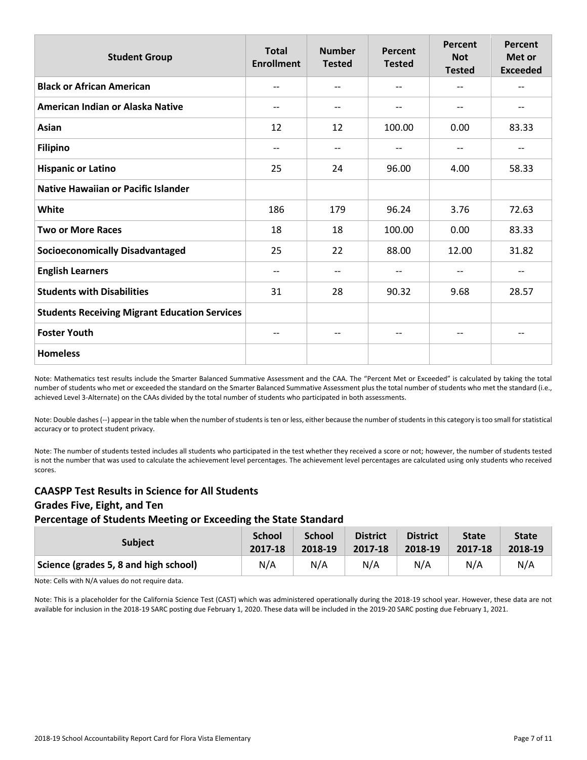| <b>Student Group</b>                                 | <b>Total</b><br><b>Enrollment</b> | <b>Number</b><br><b>Tested</b> | Percent<br><b>Tested</b> | Percent<br><b>Not</b><br><b>Tested</b> | Percent<br>Met or<br><b>Exceeded</b> |
|------------------------------------------------------|-----------------------------------|--------------------------------|--------------------------|----------------------------------------|--------------------------------------|
| <b>Black or African American</b>                     | --                                | --                             | $\overline{\phantom{m}}$ | --                                     | --                                   |
| American Indian or Alaska Native                     | $\overline{\phantom{m}}$          | --                             | $\overline{\phantom{m}}$ | --                                     | --                                   |
| Asian                                                | 12                                | 12                             | 100.00                   | 0.00                                   | 83.33                                |
| <b>Filipino</b>                                      | $-$                               | --                             | $\qquad \qquad -$        | --                                     | --                                   |
| <b>Hispanic or Latino</b>                            | 25                                | 24                             | 96.00                    | 4.00                                   | 58.33                                |
| <b>Native Hawaiian or Pacific Islander</b>           |                                   |                                |                          |                                        |                                      |
| White                                                | 186                               | 179                            | 96.24                    | 3.76                                   | 72.63                                |
| <b>Two or More Races</b>                             | 18                                | 18                             | 100.00                   | 0.00                                   | 83.33                                |
| <b>Socioeconomically Disadvantaged</b>               | 25                                | 22                             | 88.00                    | 12.00                                  | 31.82                                |
| <b>English Learners</b>                              | $-$                               | --                             | $\overline{\phantom{m}}$ | --                                     | --                                   |
| <b>Students with Disabilities</b>                    | 31                                | 28                             | 90.32                    | 9.68                                   | 28.57                                |
| <b>Students Receiving Migrant Education Services</b> |                                   |                                |                          |                                        |                                      |
| <b>Foster Youth</b>                                  | $-\!$ $\!-$                       | --                             | $\overline{\phantom{m}}$ | $\overline{\phantom{m}}$               | $--$                                 |
| <b>Homeless</b>                                      |                                   |                                |                          |                                        |                                      |

Note: Mathematics test results include the Smarter Balanced Summative Assessment and the CAA. The "Percent Met or Exceeded" is calculated by taking the total number of students who met or exceeded the standard on the Smarter Balanced Summative Assessment plus the total number of students who met the standard (i.e., achieved Level 3-Alternate) on the CAAs divided by the total number of students who participated in both assessments.

Note: Double dashes (--) appear in the table when the number of students is ten or less, either because the number of students in this category is too small for statistical accuracy or to protect student privacy.

Note: The number of students tested includes all students who participated in the test whether they received a score or not; however, the number of students tested is not the number that was used to calculate the achievement level percentages. The achievement level percentages are calculated using only students who received scores.

### **CAASPP Test Results in Science for All Students Grades Five, Eight, and Ten Percentage of Students Meeting or Exceeding the State Standard**

| <b>Subject</b>                        | <b>School</b> | <b>School</b> | <b>District</b> | <b>District</b> | <b>State</b> | <b>State</b> |
|---------------------------------------|---------------|---------------|-----------------|-----------------|--------------|--------------|
|                                       | 2017-18       | 2018-19       | 2017-18         | 2018-19         | 2017-18      | 2018-19      |
| Science (grades 5, 8 and high school) | N/A           | N/A           | N/A             | N/A             | N/A          | N/A          |

Note: Cells with N/A values do not require data.

Note: This is a placeholder for the California Science Test (CAST) which was administered operationally during the 2018-19 school year. However, these data are not available for inclusion in the 2018-19 SARC posting due February 1, 2020. These data will be included in the 2019-20 SARC posting due February 1, 2021.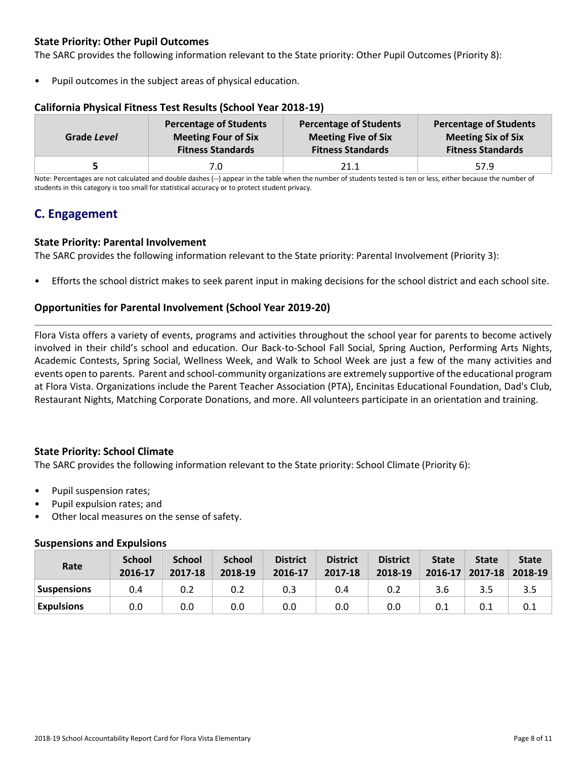### **State Priority: Other Pupil Outcomes**

The SARC provides the following information relevant to the State priority: Other Pupil Outcomes (Priority 8):

Pupil outcomes in the subject areas of physical education.

| Grade Level | <b>Percentage of Students</b> | <b>Percentage of Students</b> | <b>Percentage of Students</b> |
|-------------|-------------------------------|-------------------------------|-------------------------------|
|             | <b>Meeting Four of Six</b>    | <b>Meeting Five of Six</b>    | <b>Meeting Six of Six</b>     |
|             | <b>Fitness Standards</b>      | <b>Fitness Standards</b>      | <b>Fitness Standards</b>      |
|             | 7.0                           | 21.1                          | 57.9                          |

### **California Physical Fitness Test Results (School Year 2018-19)**

Note: Percentages are not calculated and double dashes (--) appear in the table when the number of students tested is ten or less, either because the number of students in this category is too small for statistical accuracy or to protect student privacy.

# **C. Engagement**

### **State Priority: Parental Involvement**

The SARC provides the following information relevant to the State priority: Parental Involvement (Priority 3):

• Efforts the school district makes to seek parent input in making decisions for the school district and each school site.

### **Opportunities for Parental Involvement (School Year 2019-20)**

Flora Vista offers a variety of events, programs and activities throughout the school year for parents to become actively involved in their child's school and education. Our Back-to-School Fall Social, Spring Auction, Performing Arts Nights, Academic Contests, Spring Social, Wellness Week, and Walk to School Week are just a few of the many activities and events open to parents. Parent and school-community organizations are extremely supportive of the educational program at Flora Vista. Organizations include the Parent Teacher Association (PTA), Encinitas Educational Foundation, Dad's Club, Restaurant Nights, Matching Corporate Donations, and more. All volunteers participate in an orientation and training.

### **State Priority: School Climate**

The SARC provides the following information relevant to the State priority: School Climate (Priority 6):

- Pupil suspension rates;
- Pupil expulsion rates; and
- Other local measures on the sense of safety.

### **Suspensions and Expulsions**

| Rate               | <b>School</b><br>2016-17 | <b>School</b><br>2017-18 | <b>School</b><br>2018-19 | <b>District</b><br>2016-17 | <b>District</b><br>2017-18 | <b>District</b><br>2018-19 | <b>State</b><br>2016-17 | <b>State</b> | <b>State</b><br>$2017 - 18$ 2018-19 |
|--------------------|--------------------------|--------------------------|--------------------------|----------------------------|----------------------------|----------------------------|-------------------------|--------------|-------------------------------------|
| <b>Suspensions</b> | 0.4                      | 0.2                      | 0.2                      | 0.3                        | 0.4                        | 0.2                        | 3.6                     | 3.5          | 3.5                                 |
| <b>Expulsions</b>  | 0.0                      | 0.0                      | 0.0                      | 0.0                        | 0.0                        | 0.0                        | 0.1                     |              | 0.1                                 |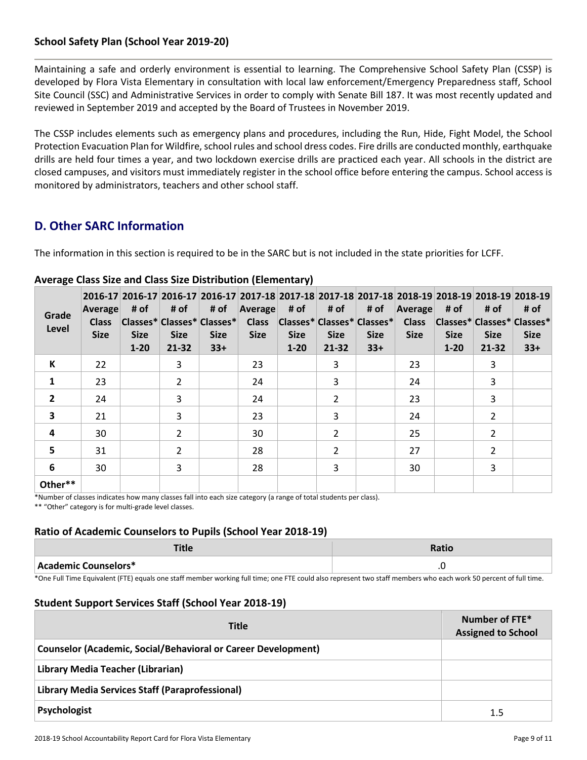### **School Safety Plan (School Year 2019-20)**

Maintaining a safe and orderly environment is essential to learning. The Comprehensive School Safety Plan (CSSP) is developed by Flora Vista Elementary in consultation with local law enforcement/Emergency Preparedness staff, School Site Council (SSC) and Administrative Services in order to comply with Senate Bill 187. It was most recently updated and reviewed in September 2019 and accepted by the Board of Trustees in November 2019.

The CSSP includes elements such as emergency plans and procedures, including the Run, Hide, Fight Model, the School Protection Evacuation Plan for Wildfire, school rules and school dress codes. Fire drills are conducted monthly, earthquake drills are held four times a year, and two lockdown exercise drills are practiced each year. All schools in the district are closed campuses, and visitors must immediately register in the school office before entering the campus. School access is monitored by administrators, teachers and other school staff.

# **D. Other SARC Information**

The information in this section is required to be in the SARC but is not included in the state priorities for LCFF.

| Grade<br>Level | Average<br><b>Class</b><br><b>Size</b> | # of<br><b>Size</b><br>$1 - 20$ | # of<br><b>Size</b><br>$21 - 32$ | # of<br> Classes* Classes* Classes* <br><b>Size</b><br>$33+$ | 2016-17 2016-17 2016-17 2016-17 2017-18 2017-18 2017-18 2017-18 2017-18 2018-19 2018-19 2018-19 2018-19<br>Average<br><b>Class</b><br><b>Size</b> | # of<br><b>Size</b><br>$1 - 20$ | # of<br><b>Size</b><br>$21 - 32$ | # of<br> Classes* Classes* Classes* <br><b>Size</b><br>$33+$ | Average<br><b>Class</b><br><b>Size</b> | # of<br> Classes* Classes* Classes*<br><b>Size</b><br>$1 - 20$ | # of<br><b>Size</b><br>21-32 | # of<br><b>Size</b><br>$33+$ |
|----------------|----------------------------------------|---------------------------------|----------------------------------|--------------------------------------------------------------|---------------------------------------------------------------------------------------------------------------------------------------------------|---------------------------------|----------------------------------|--------------------------------------------------------------|----------------------------------------|----------------------------------------------------------------|------------------------------|------------------------------|
| K              | 22                                     |                                 | 3                                |                                                              | 23                                                                                                                                                |                                 | 3                                |                                                              | 23                                     |                                                                | 3                            |                              |
| $\mathbf{1}$   | 23                                     |                                 | $\mathcal{L}$                    |                                                              | 24                                                                                                                                                |                                 | 3                                |                                                              | 24                                     |                                                                | 3                            |                              |
| $\overline{2}$ | 24                                     |                                 | 3                                |                                                              | 24                                                                                                                                                |                                 | $\mathcal{P}$                    |                                                              | 23                                     |                                                                | 3                            |                              |
| 3              | 21                                     |                                 | 3                                |                                                              | 23                                                                                                                                                |                                 | 3                                |                                                              | 24                                     |                                                                | 2                            |                              |
| 4              | 30                                     |                                 | $\overline{2}$                   |                                                              | 30                                                                                                                                                |                                 | $\overline{2}$                   |                                                              | 25                                     |                                                                | $\overline{2}$               |                              |
| 5              | 31                                     |                                 | $\overline{2}$                   |                                                              | 28                                                                                                                                                |                                 | $\overline{2}$                   |                                                              | 27                                     |                                                                | 2                            |                              |
| 6              | 30                                     |                                 | 3                                |                                                              | 28                                                                                                                                                |                                 | 3                                |                                                              | 30                                     |                                                                | 3                            |                              |
| Other**        |                                        |                                 |                                  |                                                              |                                                                                                                                                   |                                 |                                  |                                                              |                                        |                                                                |                              |                              |

### **Average Class Size and Class Size Distribution (Elementary)**

\*Number of classes indicates how many classes fall into each size category (a range of total students per class). \*\* "Other" category is for multi-grade level classes.

### **Ratio of Academic Counselors to Pupils (School Year 2018-19)**

| .                    | Ratio             |
|----------------------|-------------------|
| Academic Counselors* | $\cdot$<br>$\sim$ |

\*One Full Time Equivalent (FTE) equals one staff member working full time; one FTE could also represent two staff members who each work 50 percent of full time.

### **Student Support Services Staff (School Year 2018-19)**

| <b>Title</b>                                                         | Number of FTE*<br><b>Assigned to School</b> |
|----------------------------------------------------------------------|---------------------------------------------|
| <b>Counselor (Academic, Social/Behavioral or Career Development)</b> |                                             |
| Library Media Teacher (Librarian)                                    |                                             |
| Library Media Services Staff (Paraprofessional)                      |                                             |
| Psychologist                                                         | 1.5                                         |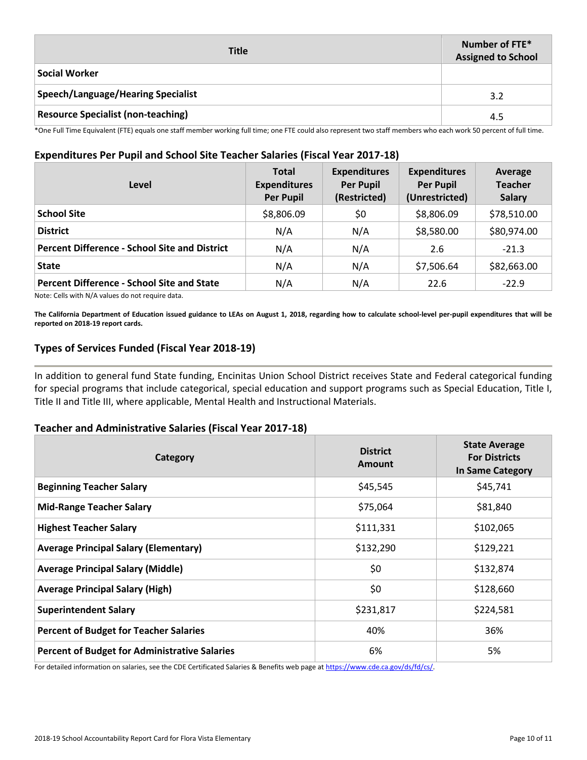| <b>Title</b>                              | Number of FTE*<br><b>Assigned to School</b> |
|-------------------------------------------|---------------------------------------------|
| <b>Social Worker</b>                      |                                             |
| Speech/Language/Hearing Specialist        | 3.2                                         |
| <b>Resource Specialist (non-teaching)</b> | 4.5                                         |

\*One Full Time Equivalent (FTE) equals one staff member working full time; one FTE could also represent two staff members who each work 50 percent of full time.

### **Expenditures Per Pupil and School Site Teacher Salaries (Fiscal Year 2017-18)**

| Level                                                | <b>Total</b><br><b>Expenditures</b><br><b>Per Pupil</b> | <b>Expenditures</b><br><b>Per Pupil</b><br>(Restricted) | <b>Expenditures</b><br><b>Per Pupil</b><br>(Unrestricted) | Average<br><b>Teacher</b><br><b>Salary</b> |
|------------------------------------------------------|---------------------------------------------------------|---------------------------------------------------------|-----------------------------------------------------------|--------------------------------------------|
| <b>School Site</b>                                   | \$8,806.09                                              | \$0                                                     | \$8,806.09                                                | \$78,510.00                                |
| <b>District</b>                                      | N/A                                                     | N/A                                                     | \$8,580.00                                                | \$80,974.00                                |
| <b>Percent Difference - School Site and District</b> | N/A                                                     | N/A                                                     | 2.6                                                       | $-21.3$                                    |
| <b>State</b>                                         | N/A                                                     | N/A                                                     | \$7,506.64                                                | \$82,663.00                                |
| <b>Percent Difference - School Site and State</b>    | N/A                                                     | N/A                                                     | 22.6                                                      | $-22.9$                                    |

Note: Cells with N/A values do not require data.

**The California Department of Education issued guidance to LEAs on August 1, 2018, regarding how to calculate school-level per-pupil expenditures that will be reported on 2018-19 report cards.**

### **Types of Services Funded (Fiscal Year 2018-19)**

In addition to general fund State funding, Encinitas Union School District receives State and Federal categorical funding for special programs that include categorical, special education and support programs such as Special Education, Title I, Title II and Title III, where applicable, Mental Health and Instructional Materials.

### **Teacher and Administrative Salaries (Fiscal Year 2017-18)**

| Category                                             | <b>District</b><br>Amount | <b>State Average</b><br><b>For Districts</b><br>In Same Category |
|------------------------------------------------------|---------------------------|------------------------------------------------------------------|
| <b>Beginning Teacher Salary</b>                      | \$45,545                  | \$45,741                                                         |
| <b>Mid-Range Teacher Salary</b>                      | \$75,064                  | \$81,840                                                         |
| <b>Highest Teacher Salary</b>                        | \$111,331                 | \$102,065                                                        |
| <b>Average Principal Salary (Elementary)</b>         | \$132,290                 | \$129,221                                                        |
| <b>Average Principal Salary (Middle)</b>             | \$0                       | \$132,874                                                        |
| <b>Average Principal Salary (High)</b>               | \$0                       | \$128,660                                                        |
| <b>Superintendent Salary</b>                         | \$231,817                 | \$224,581                                                        |
| <b>Percent of Budget for Teacher Salaries</b>        | 40%                       | 36%                                                              |
| <b>Percent of Budget for Administrative Salaries</b> | 6%                        | 5%                                                               |

For detailed information on salaries, see the CDE Certificated Salaries & Benefits web page at https://www.cde.ca.gov/ds/fd/cs/.